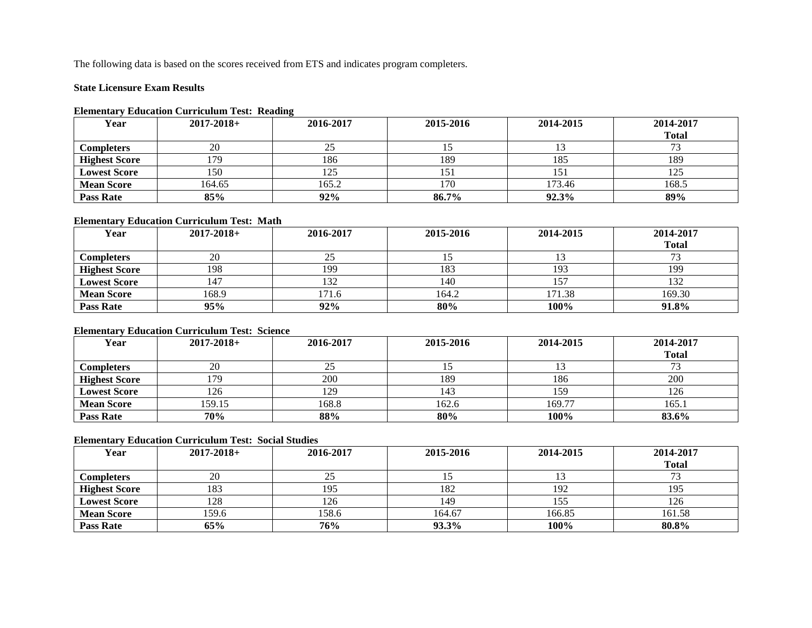The following data is based on the scores received from ETS and indicates program completers.

#### **State Licensure Exam Results**

#### **Elementary Education Curriculum Test: Reading**

| Year                 | $2017 - 2018 +$ | $\overline{\phantom{a}}$<br>2016-2017 | 2015-2016 | 2014-2015 | 2014-2017    |
|----------------------|-----------------|---------------------------------------|-----------|-----------|--------------|
|                      |                 |                                       |           |           | <b>Total</b> |
| <b>Completers</b>    | 20              | رے                                    |           |           |              |
| <b>Highest Score</b> | .79             | 186                                   | 189       | 185       | 189          |
| <b>Lowest Score</b>  | 150             | 125                                   | 151       | 151       | 125          |
| <b>Mean Score</b>    | 164.65          | 165.2                                 | 170       | 173.46    | 168.5        |
| <b>Pass Rate</b>     | 85%             | 92%                                   | 86.7%     | 92.3%     | 89%          |

## **Elementary Education Curriculum Test: Math**

| Year                 | $2017 - 2018 +$ | 2016-2017 | 2015-2016 | 2014-2015 | 2014-2017    |
|----------------------|-----------------|-----------|-----------|-----------|--------------|
|                      |                 |           |           |           | <b>Total</b> |
| Completers           | 20              | ل کے      |           |           | 72           |
| <b>Highest Score</b> | 198             | 199       | 183       | 193       | 199          |
| <b>Lowest Score</b>  | 147             | 132       | 140       | 157       | 132          |
| <b>Mean Score</b>    | 168.9           | 171.6     | 164.2     | 171.38    | 169.30       |
| <b>Pass Rate</b>     | 95%             | 92%       | 80%       | 100%      | 91.8%        |

#### **Elementary Education Curriculum Test: Science**

| Year                 | $2017 - 2018 +$ | 2016-2017 | 2015-2016 | 2014-2015 | 2014-2017    |
|----------------------|-----------------|-----------|-----------|-----------|--------------|
|                      |                 |           |           |           | <b>Total</b> |
| Completers           | 20              | ل کے      |           |           |              |
| <b>Highest Score</b> | 179             | 200       | 189       | 186       | 200          |
| <b>Lowest Score</b>  | 126             | 129       | 143       | 159       | 126          |
| <b>Mean Score</b>    | 159.15          | 168.8     | 162.6     | 169.77    | 165.1        |
| <b>Pass Rate</b>     | 70%             | 88%       | 80%       | 100%      | 83.6%        |

# **Elementary Education Curriculum Test: Social Studies**

| Year                 | $2017 - 2018 +$ | 2016-2017 | 2015-2016 | 2014-2015 | 2014-2017    |
|----------------------|-----------------|-----------|-----------|-----------|--------------|
|                      |                 |           |           |           | <b>Total</b> |
| <b>Completers</b>    | 20              | ر_ر       |           |           |              |
| <b>Highest Score</b> | 183             | 195       | 182       | 192       | 195          |
| <b>Lowest Score</b>  | 128             | 126       | 149       | 155       | 126          |
| <b>Mean Score</b>    | 159.6           | 158.6     | 164.67    | 166.85    | 161.58       |
| <b>Pass Rate</b>     | 65%             | 76%       | 93.3%     | 100%      | 80.8%        |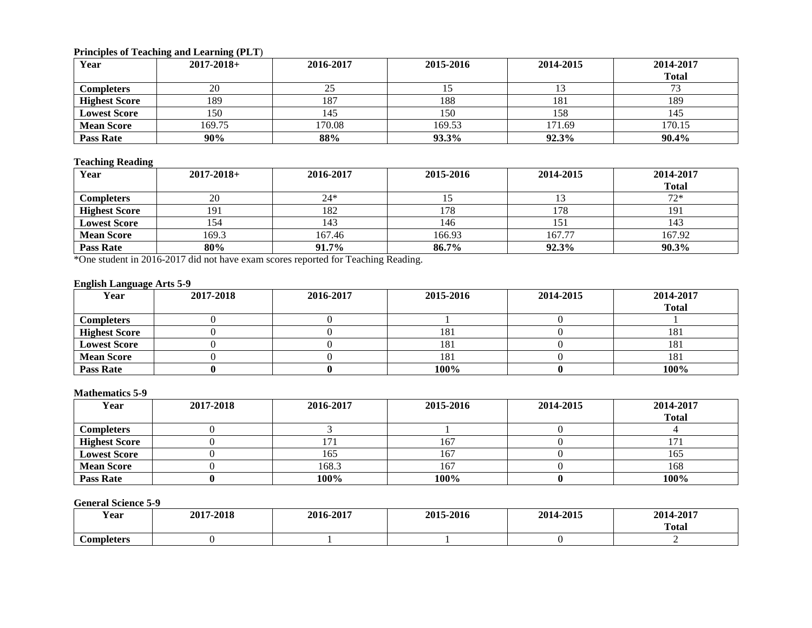# **Principles of Teaching and Learning (PLT**)

| Year                 | $2017 - 2018 +$ | 2016-2017       | 2015-2016 | 2014-2015 | 2014-2017    |
|----------------------|-----------------|-----------------|-----------|-----------|--------------|
|                      |                 |                 |           |           | <b>Total</b> |
| <b>Completers</b>    | 20              | ل ر             |           |           |              |
| <b>Highest Score</b> | 189             | 18 <sup>7</sup> | 188       | 181       | 189          |
| <b>Lowest Score</b>  | 150             | 145             | 150       | 158       | 145          |
| <b>Mean Score</b>    | 169.75          | 170.08          | 169.53    | 171.69    | 170.15       |
| <b>Pass Rate</b>     | 90%             | 88%             | 93.3%     | 92.3%     | 90.4%        |

#### **Teaching Reading**

| Year                 | $2017 - 2018 +$ | 2016-2017 | 2015-2016 | 2014-2015 | 2014-2017    |
|----------------------|-----------------|-----------|-----------|-----------|--------------|
|                      |                 |           |           |           | <b>Total</b> |
| <b>Completers</b>    | 20              | $24*$     |           |           | $72*$        |
| <b>Highest Score</b> | 191             | 182       | 178       | 178       | 191          |
| <b>Lowest Score</b>  | 154             | 143       | 146       | 151       | 143          |
| <b>Mean Score</b>    | 169.3           | 167.46    | 166.93    | 167.77    | 167.92       |
| <b>Pass Rate</b>     | 80%             | 91.7%     | 86.7%     | 92.3%     | $90.3\%$     |

\*One student in 2016-2017 did not have exam scores reported for Teaching Reading.

# **English Language Arts 5-9**

| Year                 | 2017-2018 | 2016-2017 | 2015-2016 | 2014-2015 | 2014-2017    |
|----------------------|-----------|-----------|-----------|-----------|--------------|
|                      |           |           |           |           | <b>Total</b> |
| <b>Completers</b>    |           |           |           |           |              |
| <b>Highest Score</b> |           |           | 181       |           | 181          |
| <b>Lowest Score</b>  |           |           | 181       |           | 181          |
| <b>Mean Score</b>    |           |           | 181       |           | 181          |
| <b>Pass Rate</b>     |           |           | 100%      |           | 100%         |

## **Mathematics 5-9**

| Year                 | 2017-2018 | 2016-2017 | 2015-2016 | 2014-2015 | 2014-2017    |
|----------------------|-----------|-----------|-----------|-----------|--------------|
|                      |           |           |           |           | <b>Total</b> |
| <b>Completers</b>    |           |           |           |           |              |
| <b>Highest Score</b> |           |           | 167       |           |              |
| <b>Lowest Score</b>  |           | 165       | 167       |           | 165          |
| <b>Mean Score</b>    |           | 168.3     | 167       |           | 168          |
| <b>Pass Rate</b>     |           | 100%      | 100%      |           | 100%         |

# **General Science 5-9**

| --<br>Year | 7-2018<br>2017 | $-2017$<br>2016- | 2015-2016 | -2015<br>201 | 2017<br>201<br>-40 r       |
|------------|----------------|------------------|-----------|--------------|----------------------------|
|            |                |                  |           |              | <b>CONTRACTOR</b><br>Total |
| Completers |                |                  |           |              |                            |